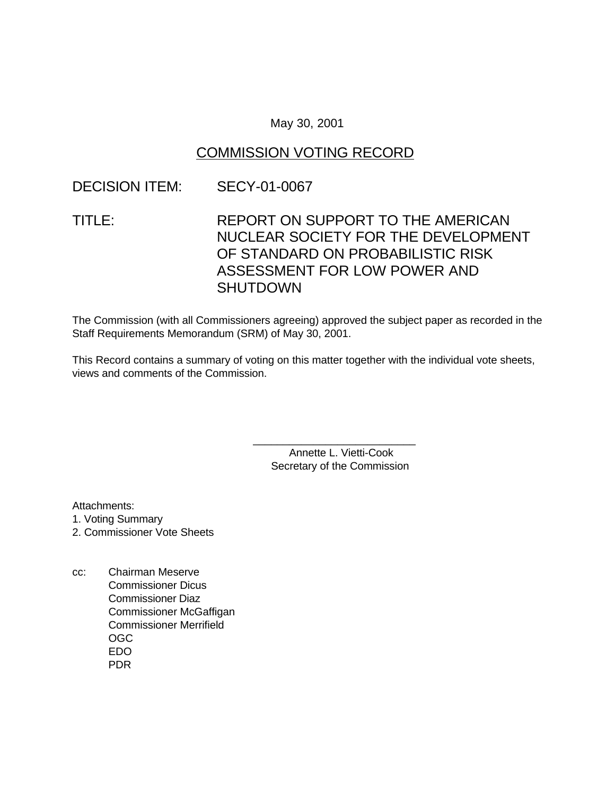#### May 30, 2001

### COMMISSION VOTING RECORD

### DECISION ITEM: SECY-01-0067

# TITLE: REPORT ON SUPPORT TO THE AMERICAN NUCLEAR SOCIETY FOR THE DEVELOPMENT OF STANDARD ON PROBABILISTIC RISK ASSESSMENT FOR LOW POWER AND **SHUTDOWN**

The Commission (with all Commissioners agreeing) approved the subject paper as recorded in the Staff Requirements Memorandum (SRM) of May 30, 2001.

This Record contains a summary of voting on this matter together with the individual vote sheets, views and comments of the Commission.

> Annette L. Vietti-Cook Secretary of the Commission

\_\_\_\_\_\_\_\_\_\_\_\_\_\_\_\_\_\_\_\_\_\_\_\_\_\_\_

Attachments:

- 1. Voting Summary
- 2. Commissioner Vote Sheets
- cc: Chairman Meserve Commissioner Dicus Commissioner Diaz Commissioner McGaffigan Commissioner Merrifield OGC EDO PDR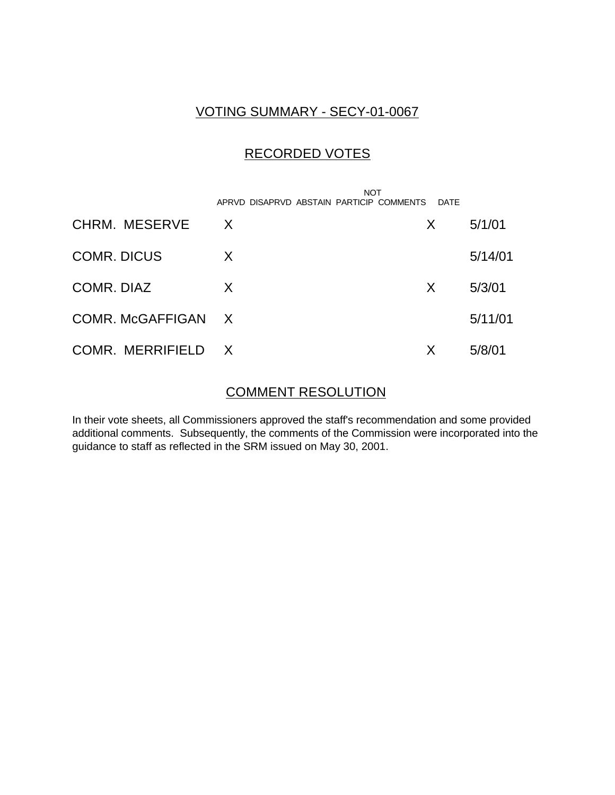### VOTING SUMMARY - SECY-01-0067

## RECORDED VOTES

|                    | <b>NOT</b><br>APRVD DISAPRVD ABSTAIN PARTICIP COMMENTS | DATE |         |
|--------------------|--------------------------------------------------------|------|---------|
| CHRM. MESERVE      | X                                                      | X    | 5/1/01  |
| <b>COMR. DICUS</b> | X                                                      |      | 5/14/01 |
| COMR. DIAZ         | X                                                      | X    | 5/3/01  |
| COMR. McGAFFIGAN X |                                                        |      | 5/11/01 |
| COMR. MERRIFIELD   | $\mathsf{X}$                                           | Х    | 5/8/01  |

### COMMENT RESOLUTION

In their vote sheets, all Commissioners approved the staff's recommendation and some provided additional comments. Subsequently, the comments of the Commission were incorporated into the guidance to staff as reflected in the SRM issued on May 30, 2001.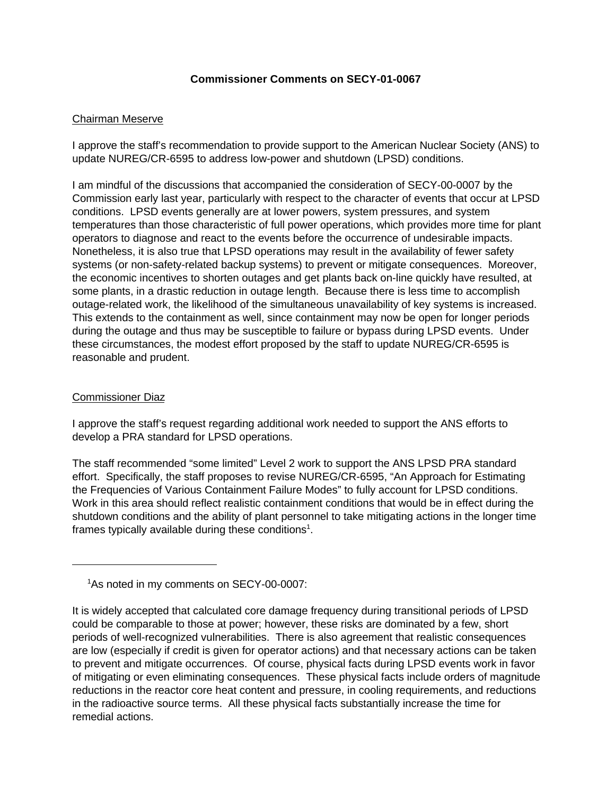#### **Commissioner Comments on SECY-01-0067**

#### Chairman Meserve

I approve the staff's recommendation to provide support to the American Nuclear Society (ANS) to update NUREG/CR-6595 to address low-power and shutdown (LPSD) conditions.

I am mindful of the discussions that accompanied the consideration of SECY-00-0007 by the Commission early last year, particularly with respect to the character of events that occur at LPSD conditions. LPSD events generally are at lower powers, system pressures, and system temperatures than those characteristic of full power operations, which provides more time for plant operators to diagnose and react to the events before the occurrence of undesirable impacts. Nonetheless, it is also true that LPSD operations may result in the availability of fewer safety systems (or non-safety-related backup systems) to prevent or mitigate consequences. Moreover, the economic incentives to shorten outages and get plants back on-line quickly have resulted, at some plants, in a drastic reduction in outage length. Because there is less time to accomplish outage-related work, the likelihood of the simultaneous unavailability of key systems is increased. This extends to the containment as well, since containment may now be open for longer periods during the outage and thus may be susceptible to failure or bypass during LPSD events. Under these circumstances, the modest effort proposed by the staff to update NUREG/CR-6595 is reasonable and prudent.

#### Commissioner Diaz

I approve the staff's request regarding additional work needed to support the ANS efforts to develop a PRA standard for LPSD operations.

The staff recommended "some limited" Level 2 work to support the ANS LPSD PRA standard effort. Specifically, the staff proposes to revise NUREG/CR-6595, "An Approach for Estimating the Frequencies of Various Containment Failure Modes" to fully account for LPSD conditions. Work in this area should reflect realistic containment conditions that would be in effect during the shutdown conditions and the ability of plant personnel to take mitigating actions in the longer time frames typically available during these conditions<sup>1</sup>.

<sup>&</sup>lt;sup>1</sup>As noted in my comments on SECY-00-0007:

It is widely accepted that calculated core damage frequency during transitional periods of LPSD could be comparable to those at power; however, these risks are dominated by a few, short periods of well-recognized vulnerabilities. There is also agreement that realistic consequences are low (especially if credit is given for operator actions) and that necessary actions can be taken to prevent and mitigate occurrences. Of course, physical facts during LPSD events work in favor of mitigating or even eliminating consequences. These physical facts include orders of magnitude reductions in the reactor core heat content and pressure, in cooling requirements, and reductions in the radioactive source terms. All these physical facts substantially increase the time for remedial actions.